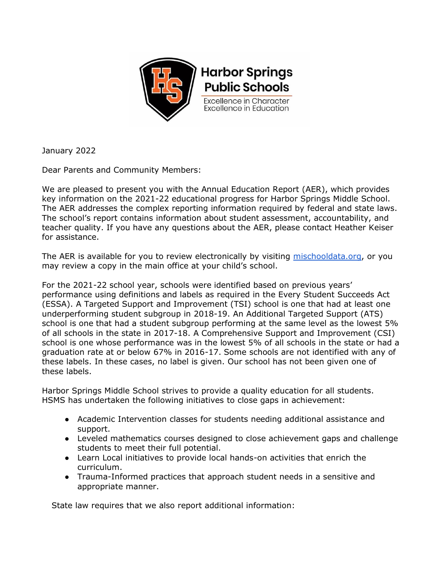

January 2022

Dear Parents and Community Members:

We are pleased to present you with the Annual Education Report (AER), which provides key information on the 2021-22 educational progress for Harbor Springs Middle School. The AER addresses the complex reporting information required by federal and state laws. The school's report contains information about student assessment, accountability, and teacher quality. If you have any questions about the AER, please contact Heather Keiser for assistance.

The AER is available for you to review electronically by visiting [mischooldata.org,](https://www.mischooldata.org/annual-education-report-1?Common_Locations=1-S,7912,1205,71) or you may review a copy in the main office at your child's school.

For the 2021-22 school year, schools were identified based on previous years' performance using definitions and labels as required in the Every Student Succeeds Act (ESSA). A Targeted Support and Improvement (TSI) school is one that had at least one underperforming student subgroup in 2018-19. An Additional Targeted Support (ATS) school is one that had a student subgroup performing at the same level as the lowest 5% of all schools in the state in 2017-18. A Comprehensive Support and Improvement (CSI) school is one whose performance was in the lowest 5% of all schools in the state or had a graduation rate at or below 67% in 2016-17. Some schools are not identified with any of these labels. In these cases, no label is given. Our school has not been given one of these labels.

Harbor Springs Middle School strives to provide a quality education for all students. HSMS has undertaken the following initiatives to close gaps in achievement:

- Academic Intervention classes for students needing additional assistance and support.
- Leveled mathematics courses designed to close achievement gaps and challenge students to meet their full potential.
- Learn Local initiatives to provide local hands-on activities that enrich the curriculum.
- Trauma-Informed practices that approach student needs in a sensitive and appropriate manner.

State law requires that we also report additional information: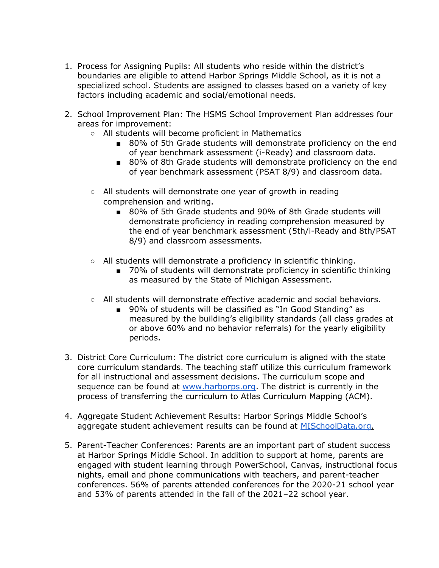- 1. Process for Assigning Pupils: All students who reside within the district's boundaries are eligible to attend Harbor Springs Middle School, as it is not a specialized school. Students are assigned to classes based on a variety of key factors including academic and social/emotional needs.
- 2. School Improvement Plan: The HSMS School Improvement Plan addresses four areas for improvement:
	- All students will become proficient in Mathematics
		- 80% of 5th Grade students will demonstrate proficiency on the end of year benchmark assessment (i-Ready) and classroom data.
		- 80% of 8th Grade students will demonstrate proficiency on the end of year benchmark assessment (PSAT 8/9) and classroom data.
	- All students will demonstrate one year of growth in reading comprehension and writing.
		- 80% of 5th Grade students and 90% of 8th Grade students will demonstrate proficiency in reading comprehension measured by the end of year benchmark assessment (5th/i-Ready and 8th/PSAT 8/9) and classroom assessments.
	- All students will demonstrate a proficiency in scientific thinking.
		- 70% of students will demonstrate proficiency in scientific thinking as measured by the State of Michigan Assessment.
	- All students will demonstrate effective academic and social behaviors.
		- 90% of students will be classified as "In Good Standing" as measured by the building's eligibility standards (all class grades at or above 60% and no behavior referrals) for the yearly eligibility periods.
- 3. District Core Curriculum: The district core curriculum is aligned with the state core curriculum standards. The teaching staff utilize this curriculum framework for all instructional and assessment decisions. The curriculum scope and sequence can be found at [www.harborps.org.](http://www.harborps.org/) The district is currently in the process of transferring the curriculum to Atlas Curriculum Mapping (ACM).
- 4. Aggregate Student Achievement Results: Harbor Springs Middle School's aggregate student achievement results can be found at [MISchoolData.org.](https://www.mischooldata.org/parent-dashboard-page?PageUrl=https://legacy.mischooldata.org/ParentDashboard/ParentDashboardSchoolOverview.aspx?LocationId=S,7912,1205,71)
- 5. Parent-Teacher Conferences: Parents are an important part of student success at Harbor Springs Middle School. In addition to support at home, parents are engaged with student learning through PowerSchool, Canvas, instructional focus nights, email and phone communications with teachers, and parent-teacher conferences. 56% of parents attended conferences for the 2020-21 school year and 53% of parents attended in the fall of the 2021–22 school year.